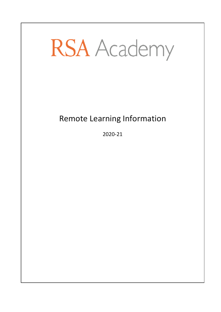# **RSA** Academy

# Remote Learning Information

2020-21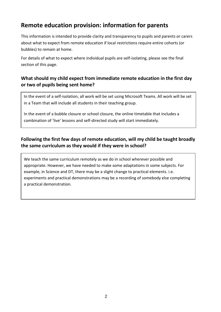# **Remote education provision: information for parents**

This information is intended to provide clarity and transparency to pupils and parents or carers about what to expect from remote education if local restrictions require entire cohorts (or bubbles) to remain at home.

For details of what to expect where individual pupils are self-isolating, please see the final section of this page.

#### **What should my child expect from immediate remote education in the first day or two of pupils being sent home?**

In the event of a self-isolation, all work will be set using Microsoft Teams. All work will be set in a Team that will include all students in their teaching group.

In the event of a bubble closure or school closure, the online timetable that includes a combination of 'live' lessons and self-directed study will start immediately.

#### **Following the first few days of remote education, will my child be taught broadly the same curriculum as they would if they were in school?**

We teach the same curriculum remotely as we do in school wherever possible and appropriate. However, we have needed to make some adaptations in some subjects. For example, in Science and DT, there may be a slight change to practical elements. i.e. experiments and practical demonstrations may be a recording of somebody else completing a practical demonstration.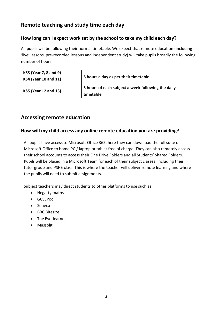# **Remote teaching and study time each day**

#### **How long can I expect work set by the school to take my child each day?**

All pupils will be following their normal timetable. We expect that remote education (including 'live' lessons, pre-recorded lessons and independent study) will take pupils broadly the following number of hours:

| <b>KS3 (Year 7, 8 and 9)</b><br><b>KS4 (Year 10 and 11)</b> | 5 hours a day as per their timetable                            |
|-------------------------------------------------------------|-----------------------------------------------------------------|
| <b>KS5 (Year 12 and 13)</b>                                 | 5 hours of each subject a week following the daily<br>timetable |

#### **Accessing remote education**

#### **How will my child access any online remote education you are providing?**

All pupils have access to Microsoft Office 365, here they can download the full suite of Microsoft Office to home PC / laptop or tablet free of charge. They can also remotely access their school accounts to access their One Drive Folders and all Students' Shared Folders. Pupils will be placed in a Microsoft Team for each of their subject classes, including their tutor group and PSHE class. This is where the teacher will deliver remote learning and where the pupils will need to submit assignments.

Subject teachers may direct students to other platforms to use such as:

- Hegarty maths
- GCSEPod
- Seneca
- BBC Bitesize
- The Everlearner
- Massolit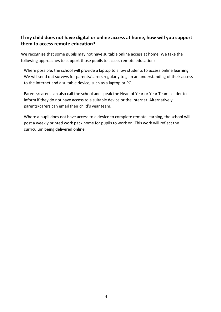#### **If my child does not have digital or online access at home, how will you support them to access remote education?**

We recognise that some pupils may not have suitable online access at home. We take the following approaches to support those pupils to access remote education:

Where possible, the school will provide a laptop to allow students to access online learning. We will send out surveys for parents/carers regularly to gain an understanding of their access to the internet and a suitable device, such as a laptop or PC.

Parents/carers can also call the school and speak the Head of Year or Year Team Leader to inform if they do not have access to a suitable device or the internet. Alternatively, parents/carers can email their child's year team.

Where a pupil does not have access to a device to complete remote learning, the school will post a weekly printed work pack home for pupils to work on. This work will reflect the curriculum being delivered online.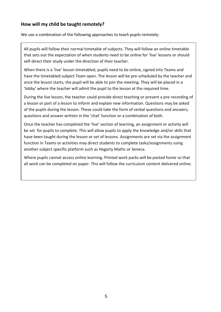#### **How will my child be taught remotely?**

We use a combination of the following approaches to teach pupils remotely:

All pupils will follow their normal timetable of subjects. They will follow an online timetable that sets out the expectation of when students need to be online for 'live' lessons or should self-direct their study under the direction of their teacher.

When there is a 'live' lesson timetabled, pupils need to be online, signed into Teams and have the timetabled subject Team open. The lesson will be pre-scheduled by the teacher and once the lesson starts, the pupil will be able to join the meeting. They will be placed in a 'lobby' where the teacher will admit the pupil to the lesson at the required time.

During the live lesson, the teacher could provide direct teaching or present a pre-recording of a lesson or part of a lesson to inform and explain new information. Questions may be asked of the pupils during the lesson. These could take the form of verbal questions and answers, questions and answer written in the 'chat' function or a combination of both.

Once the teacher has completed the 'live' section of learning, an assignment or activity will be set for pupils to complete. This will allow pupils to apply the knowledge and/or skills that have been taught during the lesson or set of lessons. Assignments are set via the assignment function in Teams or activities may direct students to complete tasks/assignments using another subject specific platform such as Hegarty Maths or Seneca.

Where pupils cannot access online learning. Printed work packs will be posted home so that all work can be completed on paper. This will follow the curriculum content delivered online.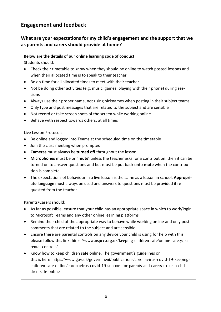# **Engagement and feedback**

#### **What are your expectations for my child's engagement and the support that we as parents and carers should provide at home?**

## **Below are the details of our online learning code of conduct**

Students should:

- Check their timetable to know when they should be online to watch posted lessons and when their allocated time is to speak to their teacher
- Be on time for all allocated times to meet with their teacher
- Not be doing other activities (e.g. music, games, playing with their phone) during sessions
- Always use their proper name, not using nicknames when posting in their subject teams
- Only type and post messages that are related to the subject and are sensible
- Not record or take screen shots of the screen while working online
- Behave with respect towards others, at all times

Live Lesson Protocols:

- Be online and logged into Teams at the scheduled time on the timetable
- Join the class meeting when prompted
- **Cameras** must always be **turned off** throughout the lesson
- **Microphones** must be on **'mute'** unless the teacher asks for a contribution, then it can be turned on to answer questions and but must be put back onto **mute** when the contribution is complete
- The expectations of behaviour in a live lesson is the same as a lesson in school. **Appropriate language** must always be used and answers to questions must be provided if requested from the teacher

Parents/Carers should:

- As far as possible, ensure that your child has an appropriate space in which to work/login to Microsoft Teams and any other online learning platforms
- Remind their child of the appropriate way to behave while working online and only post comments that are related to the subject and are sensible
- Ensure there are parental controls on any device your child is using for help with this, please follow this link: [https://www.nspcc.org.uk/keeping-children-safe/online-safety/pa](https://www.nspcc.org.uk/keeping-children-safe/online-safety/parental-controls/)[rental-controls/](https://www.nspcc.org.uk/keeping-children-safe/online-safety/parental-controls/)
- Know how to keep children safe online. The government's guidelines on this is here: [https://www.gov.uk/government/publications/coronavirus-covid-19-keeping](https://www.gov.uk/government/publications/coronavirus-covid-19-keeping-children-safe-online/coronavirus-covid-19-support-for-parents-and-carers-to-keep-children-safe-online)[children-safe-online/coronavirus-covid-19-support-for-parents-and-carers-to-keep-chil](https://www.gov.uk/government/publications/coronavirus-covid-19-keeping-children-safe-online/coronavirus-covid-19-support-for-parents-and-carers-to-keep-children-safe-online)[dren-safe-online](https://www.gov.uk/government/publications/coronavirus-covid-19-keeping-children-safe-online/coronavirus-covid-19-support-for-parents-and-carers-to-keep-children-safe-online)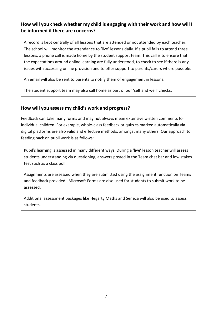#### **How will you check whether my child is engaging with their work and how will I be informed if there are concerns?**

A record is kept centrally of all lessons that are attended or not attended by each teacher. The school will monitor the attendance to 'live' lessons daily. If a pupil fails to attend three lessons, a phone call is made home by the student support team. This call is to ensure that the expectations around online learning are fully understood, to check to see if there is any issues with accessing online provision and to offer support to parents/carers where possible.

An email will also be sent to parents to notify them of engagement in lessons.

The student support team may also call home as part of our 'self and well' checks.

#### **How will you assess my child's work and progress?**

Feedback can take many forms and may not always mean extensive written comments for individual children. For example, whole-class feedback or quizzes marked automatically via digital platforms are also valid and effective methods, amongst many others. Our approach to feeding back on pupil work is as follows:

Pupil's learning is assessed in many different ways. During a 'live' lesson teacher will assess students understanding via questioning, answers posted in the Team chat bar and low stakes test such as a class poll.

Assignments are assessed when they are submitted using the assignment function on Teams and feedback provided. Microsoft Forms are also used for students to submit work to be assessed.

Additional assessment packages like Hegarty Maths and Seneca will also be used to assess students.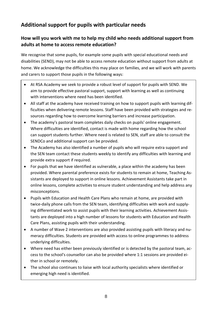# **Additional support for pupils with particular needs**

#### **How will you work with me to help my child who needs additional support from adults at home to access remote education?**

We recognise that some pupils, for example some pupils with special educational needs and disabilities (SEND), may not be able to access remote education without support from adults at home. We acknowledge the difficulties this may place on families, and we will work with parents and carers to support those pupils in the following ways:

- At RSA Academy we seek to provide a robust level of support for pupils with SEND. We aim to provide effective pastoral support, support with learning as well as continuing with interventions where need has been identified.
- All staff at the academy have received training on how to support pupils with learning difficulties when delivering remote lessons. Staff have been provided with strategies and resources regarding how to overcome learning barriers and increase participation.
- The academy's pastoral team completes daily checks on pupils' online engagement. Where difficulties are identified, contact is made with home regarding how the school can support students further. Where need is related to SEN, staff are able to consult the SENDCo and additional support can be provided.
- The Academy has also identified a number of pupils who will require extra support and the SEN team contact these students weekly to identify any difficulties with learning and provide extra support if required.
- For pupils that we have identified as vulnerable, a place within the academy has been provided. Where parental preference exists for students to remain at home, Teaching Assistants are deployed to support in online lessons. Achievement Assistants take part in online lessons, complete activities to ensure student understanding and help address any misconceptions.
- Pupils with Education and Health Care Plans who remain at home, are provided with twice-daily phone calls from the SEN team, identifying difficulties with work and supplying differentiated work to assist pupils with their learning activities. Achievement Assistants are deployed into a high number of lessons for students with Education and Health Care Plans, assisting pupils with their understanding.
- A number of Wave 2 interventions are also provided assisting pupils with literacy and numeracy difficulties. Students are provided with access to online programmes to address underlying difficulties.
- Where need has either been previously identified or is detected by the pastoral team, access to the school's counsellor can also be provided where 1:1 sessions are provided either in school or remotely.
- The school also continues to liaise with local authority specialists where identified or emerging high need is identified.